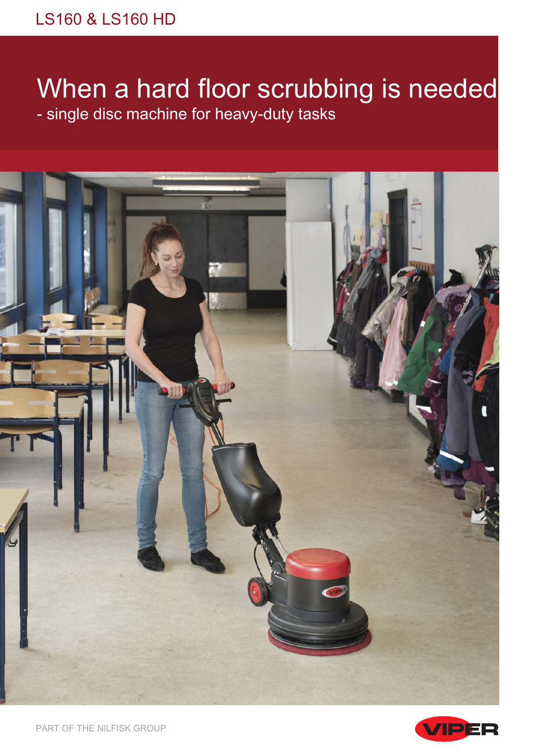# When a hard floor scrubbing is needed - single disc machine for heavy-duty tasks





PART OF THE NILFISK GROUP